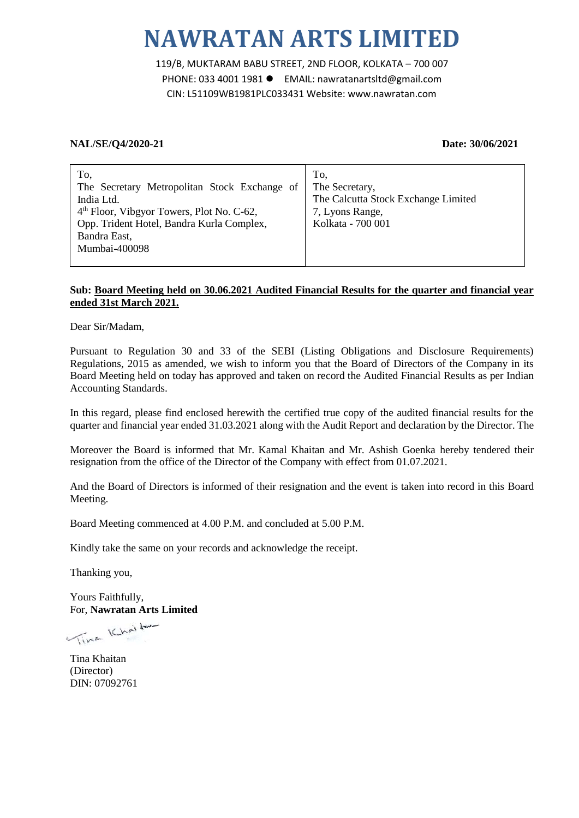119/B, MUKTARAM BABU STREET, 2ND FLOOR, KOLKATA – 700 007 PHONE: 033 4001 1981 ● EMAIL: nawratanartsltd@gmail.com CIN: L51109WB1981PLC033431 Website: www.nawratan.com

#### **NAL/SE/Q4/2020-21 Date: 30/06/2021**

| To,                                                   | To.                                 |
|-------------------------------------------------------|-------------------------------------|
| The Secretary Metropolitan Stock Exchange of          | The Secretary,                      |
| India Ltd.                                            | The Calcutta Stock Exchange Limited |
| 4 <sup>th</sup> Floor, Vibgyor Towers, Plot No. C-62, | 7, Lyons Range,                     |
| Opp. Trident Hotel, Bandra Kurla Complex,             | Kolkata - 700 001                   |
| Bandra East,                                          |                                     |
| Mumbai-400098                                         |                                     |
|                                                       |                                     |

#### **Sub: Board Meeting held on 30.06.2021 Audited Financial Results for the quarter and financial year ended 31st March 2021.**

Dear Sir/Madam,

Pursuant to Regulation 30 and 33 of the SEBI (Listing Obligations and Disclosure Requirements) Regulations, 2015 as amended, we wish to inform you that the Board of Directors of the Company in its Board Meeting held on today has approved and taken on record the Audited Financial Results as per Indian Accounting Standards.

In this regard, please find enclosed herewith the certified true copy of the audited financial results for the quarter and financial year ended 31.03.2021 along with the Audit Report and declaration by the Director. The

Moreover the Board is informed that Mr. Kamal Khaitan and Mr. Ashish Goenka hereby tendered their resignation from the office of the Director of the Company with effect from 01.07.2021.

And the Board of Directors is informed of their resignation and the event is taken into record in this Board Meeting.

Board Meeting commenced at 4.00 P.M. and concluded at 5.00 P.M.

Kindly take the same on your records and acknowledge the receipt.

Thanking you,

Yours Faithfully, For, **Nawratan Arts Limited**

Time Khaitan

Tina Khaitan (Director) DIN: 07092761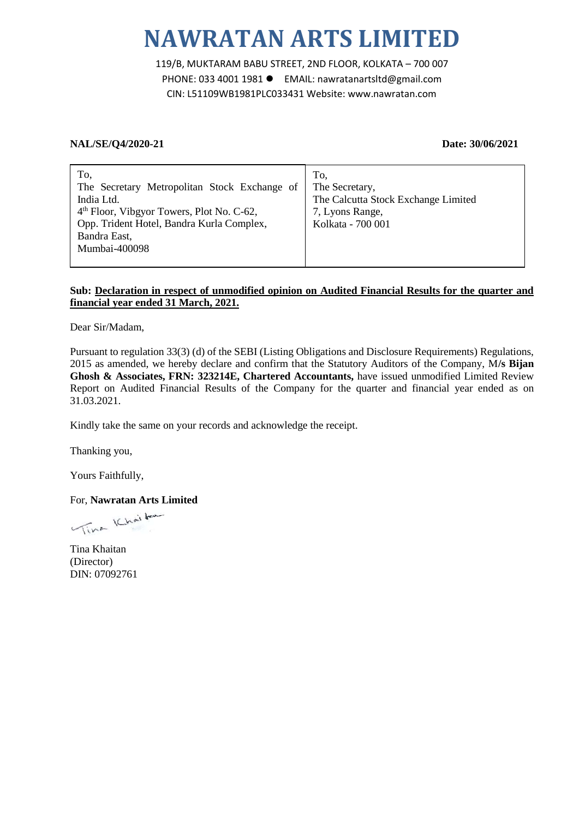119/B, MUKTARAM BABU STREET, 2ND FLOOR, KOLKATA – 700 007 PHONE: 033 4001 1981 EMAIL: nawratanartsltd@gmail.com CIN: L51109WB1981PLC033431 Website: www.nawratan.com

### **NAL/SE/Q4/2020-21 Date: 30/06/2021**

| To,                                                   | To,                                 |
|-------------------------------------------------------|-------------------------------------|
| The Secretary Metropolitan Stock Exchange of          | The Secretary,                      |
| India Ltd.                                            | The Calcutta Stock Exchange Limited |
| 4 <sup>th</sup> Floor, Vibgyor Towers, Plot No. C-62, | 7, Lyons Range,                     |
| Opp. Trident Hotel, Bandra Kurla Complex,             | Kolkata - 700 001                   |
| Bandra East,                                          |                                     |
| Mumbai-400098                                         |                                     |
|                                                       |                                     |

### **Sub: Declaration in respect of unmodified opinion on Audited Financial Results for the quarter and financial year ended 31 March, 2021.**

Dear Sir/Madam,

Pursuant to regulation 33(3) (d) of the SEBI (Listing Obligations and Disclosure Requirements) Regulations, 2015 as amended, we hereby declare and confirm that the Statutory Auditors of the Company, M**/s Bijan Ghosh & Associates, FRN: 323214E, Chartered Accountants,** have issued unmodified Limited Review Report on Audited Financial Results of the Company for the quarter and financial year ended as on 31.03.2021.

Kindly take the same on your records and acknowledge the receipt.

Thanking you,

Yours Faithfully,

For, **Nawratan Arts Limited**

Vina Khaitan

Tina Khaitan (Director) DIN: 07092761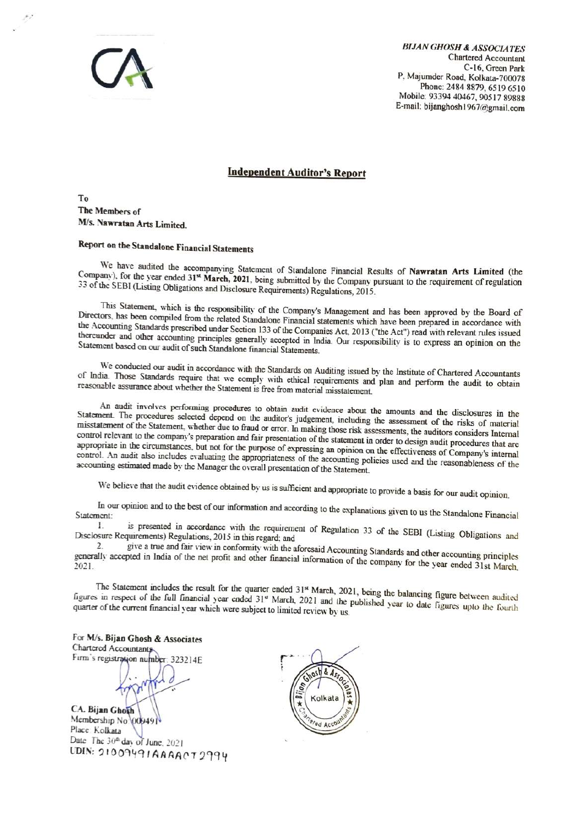

BIJAN GHOSH & ASsOCIATES Chartered Accountant C-16, Green Park<br>C-16, Green Park<br>P. Majumder Road, Kolkata-700078<br>Phone: 2484 8879, 6519 6510<br>Mobile: 93394 40467, 90517 89888 P, Majumder Road, Kolkata-700078 Phone: 2484 8879, 6519 6510 Mobile: 93394 40467, 90517 89888 E-mail: bijanghosh1967@gmail.com

#### Independent Auditor's Report

To The Members of M/s. Nawratan Arts Limited.

## Report on the Standalone Financial Statements

We have audited the accompanying Statement of Standalone Financial Results of Nawratan Arts Limited (the Company), for the year ended 31<sup>st</sup> March, 2021, being submitted by the Company pursuant to the requirement of regulation S5 of the SEBI (Listing Obligations and Disclosure Requirements) Regulations, 2015.

This Statement, which is the responsibility of the Company's Management and has been approved by the Board of Directors, has been compiled from the related Standalone Financial statements which have been prepared in accordance with the Accounting Standards prescribed under Section 133 of the Companies Act, 2013 ("the Act") read wi thereunder and other accounting principles generally accepted in India. Our responsibility is to express an opinion on the Statement based on our audit of such Standalone financial Statements.

We conducted our audit in accordance with the Standards on Auditing issued by the Institute of Chartered Accountants of India. Those Standards require that we comply with ethical requirements and plan and perform the audit

An audit involves performing procedures to obtain audit evidence about the amounts and the disclosures in the Statement. The procedures selected depend on the auditor's judgement, including the assessment of the risks of m control relevant to the company's preparation and fair presentation of the statement in order to design audit procedures that are appropriate in the circumstances, but not for the purpose of expressing an opinion on the ef control. An audit also includes evaluating the appropriateness of the accounting policies used and the reasonableness of the

We believe that the audit evidence obtained by us is sufficient and appropriate to provide a basis for our audit opinion.

In our opinion and to the best of our information and according to the explanations given to us the Standalone Financial<br>
1. is presented in accordance with the requirement of Based views and the standalone Financial

I. is presented in accordance with the requirement of Regulation 33 of the SEBI (Listing Obligations and Disclosure Requirements) Regulations, 2015 in this regard; and and disclosure Requirements) regard and  $\frac{2}{3}$  give

 $\frac{2}{\cdot}$ 2. give a true and fair view in conformity with the aforesaid Accounting Standards and other accounting principles generally accepted in India of the net profit and other financial information of the company for the year e

The Statement includes the result for the quarter ended 31<sup>st</sup> March, 2021, being the balancing figure between audited figures in respect of the full financial year ended 31<sup>st</sup> March, 2021 and the published year to date f

For M/s. Bijan Ghosh & Associates Chartered Accountant Firm's registration number: 323214E

CA. Bijan Ghozh Membership No 00049<br>Place Kolkata Date The 30<sup>th</sup> day of June, 2021 UDIN: 21009491AAAACT2994

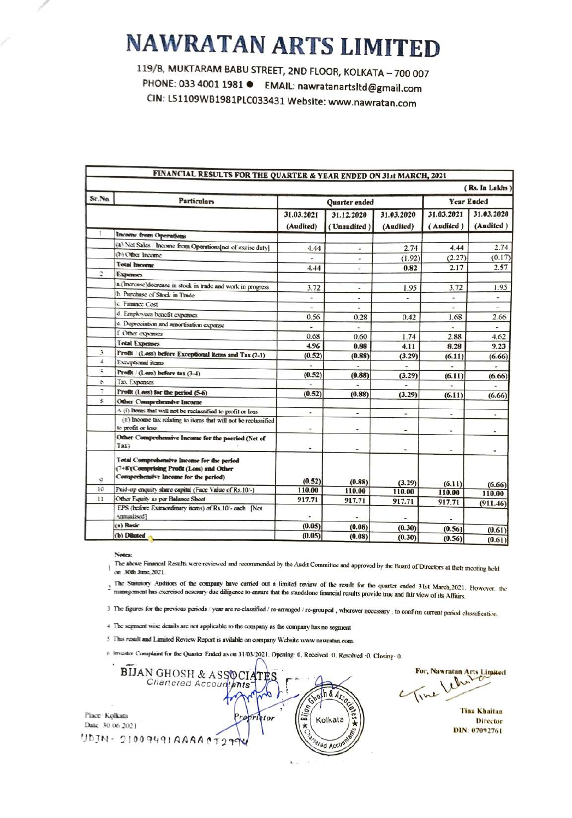119/B, MUKTARAM BABU STREET, 2ND FLOOR, KOLKATA - 700 007 PHONE: 033 4001 1981 ● EMAIL: nawratanartsltd@gmail.com CIN: L51109WB1981PLC033431 Website: www.nawratan.com

| FINANCIAL RESULTS FOR THE QUARTER & YEAR ENDED ON 31st MARCH, 2021 |                                                                                                                               |                          |                |                          |                          |                          |
|--------------------------------------------------------------------|-------------------------------------------------------------------------------------------------------------------------------|--------------------------|----------------|--------------------------|--------------------------|--------------------------|
|                                                                    |                                                                                                                               |                          |                |                          |                          | (Rs. In Lakhs)           |
| Sr.No.                                                             | <b>Particulars</b>                                                                                                            |                          | Quarter ended  |                          | <b>Year Ended</b>        |                          |
|                                                                    |                                                                                                                               | 31.03.2021               | 31.12.2020     | 31.03.2020               | 31.03.2021               | 31.03.2020               |
|                                                                    |                                                                                                                               | (Audited)                | (Unaudited)    | (Audited)                | (Audited)                | (Audited)                |
|                                                                    | Income from Operations                                                                                                        |                          |                |                          |                          |                          |
|                                                                    | (a) Net Sales Income from Operations[net of excise duty]                                                                      | 4.44                     | ٠              | 2.74                     | 4.44                     | 2.74                     |
|                                                                    | (b) Other Income                                                                                                              |                          | $\blacksquare$ | (1.92)                   | (2.27)                   | (0.17)                   |
|                                                                    | <b>Total Income</b>                                                                                                           | 4.44                     |                | 0.82                     | 2.17                     | 2.57                     |
|                                                                    | <b>Expenses</b>                                                                                                               |                          |                |                          |                          |                          |
|                                                                    | a (Increase)docrease in stock in trade and work in progress                                                                   | 3.72                     | Ξ              | 1.95                     | 3.72                     | 1.95                     |
|                                                                    | h. Purchase of Stock in Trade                                                                                                 | $\overline{a}$           | $\overline{a}$ | ۰                        | $\omega$                 | $\overline{\phantom{a}}$ |
|                                                                    | c. Finance Cost                                                                                                               | ٠                        |                |                          | ٠                        | ×.                       |
|                                                                    | d. Employees hencfit expenses                                                                                                 | 0.56                     | 0.28           | 0.42                     | 1.68                     | 2.66                     |
|                                                                    | c. Depreciation and amortisation expense                                                                                      | ٠                        |                |                          | $\overline{\phantom{a}}$ | $\overline{a}$           |
|                                                                    | f. Other expenses                                                                                                             | 0.68                     | 0.60           | 1.74                     | 2.88                     | 4.62                     |
|                                                                    | <b>Total Expenses</b>                                                                                                         | 4.96                     | 0.88           | 4.11                     | 8.28                     | 9.23                     |
| 3                                                                  | Frofit / (Loss) before Exceptional items and Tax (2-1)                                                                        | (0.52)                   | (0.88)         | (3.29)                   | (6.11)                   | (6.66)                   |
| 4                                                                  | Exceptional items                                                                                                             |                          |                |                          |                          |                          |
| š                                                                  | Profit / (Less) before tax (3-4)                                                                                              | (0.52)                   | (0.88)         | (3.29)                   | (6.11)                   | (6.66)                   |
| ¢.                                                                 | Tax Expenses                                                                                                                  |                          |                |                          |                          |                          |
| 7                                                                  | Profit (Less) for the period (5-6)                                                                                            | (0.52)                   | (0.88)         | (3.29)                   | (6.11)                   | (6.66)                   |
| $\tilde{\mathbf{x}}$                                               | Other Comprehensive Income                                                                                                    |                          |                |                          |                          |                          |
|                                                                    | A (i) Items that will not be reclassified to profit or loss                                                                   | $\overline{\phantom{a}}$ | ×,             | w.                       | i.                       |                          |
|                                                                    | (ii) Income tax relating to items that will not be reclassified<br>to profit or loss                                          |                          | ä,             | w.                       | ٠                        | ٠<br>٠                   |
|                                                                    | Other Comprehensive Income for the poeriod (Net of<br>Tax)                                                                    | ٠                        | ۰              | $\overline{\phantom{a}}$ | ۰                        | ٠                        |
| ٥                                                                  | Total Comprehensive Income for the period<br>(7+8)(Comprising Profit (Loss) and Other<br>Comprehensive Income for the period) | (0.52)                   | (0.88)         | (3.29)                   | (6.11)                   |                          |
| 10                                                                 | Paid-up enquity share capital (Face Value of Rs.10/-)                                                                         | 110.00                   | 110.00         | 110.00                   | 110.00                   | (6.66)<br>110.00         |
| 11                                                                 | Other Equity as per Balance Sheet                                                                                             | 917.71                   | 917.71         | 917.71                   | 917.71                   |                          |
|                                                                    | EPS (before Extraordinary items) of Rs.10'- each [Not<br>Amualised?                                                           |                          |                |                          |                          | (911.46)                 |
|                                                                    | (a) Basic                                                                                                                     | (0.05)                   | (0.08)         | (0.30)                   | (0.56)                   |                          |
|                                                                    | (b) Diluted                                                                                                                   | (0.05)                   | (0.08)         | (0.30)                   | (0.56)                   | (0.61)<br>(0.61)         |

Notec:

The above Financal Results were reviewed and recommended by the Audit Committee and approved by the Board of Directors at thetr meeting held  $\bar{1}$ on 30th June, 2021.

The Statutory Auditors of the company have carried out a limited review of the result for the quarter ended 31st March.2021. However, the management has exercised nesesary due diligence to ensure that the standalone financ

3 The figures for the previous periods / year are re-classified / re-arranged / re-grouped, wherever necessary, to confirm current period classification.

4 The segment wise details are not applicable to the company as the company has no segment

5 This result and Limited Review Report is avilable on company Website www.nawratan.com.

6 Investor Complaint for the Quarter Ended as on 31/03/2021. Opening: 0, Received .0, Resolved .0, Closing: 0,

**BIJAN GHOSH & ASSOCIA** Chartered Accountants  $h \& 450$ Place Kolkata ropr etor Kolkata Date: 30 06 2021  $UDDIN - 210094910000000000000000$ ered Account

For, Nawratan Arts Limited

**Tina Khaitan Director** DIN: 07092761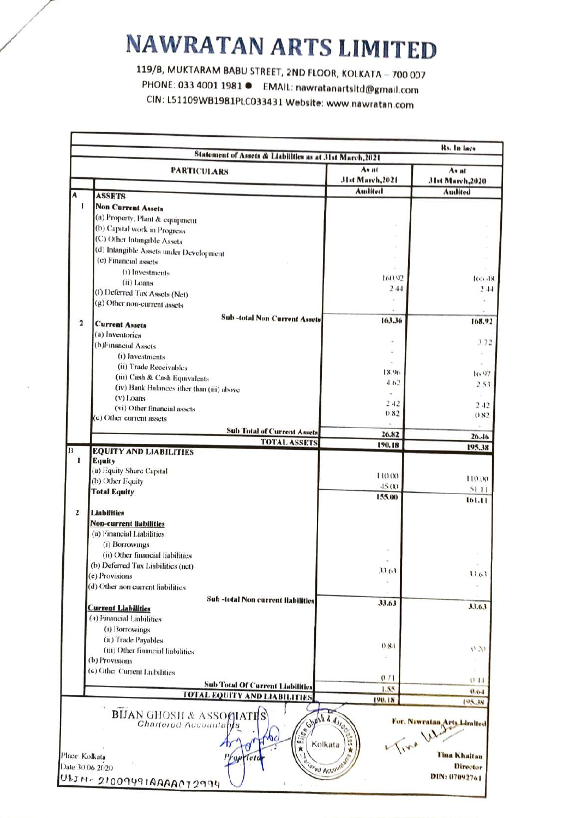PHONE: 033 4001 1981 ● EMAIL: nawratanartsltd@gmail.com<br>CIN: L51109WB1981PLC033431 Website: www.nawratan.com

|                | <b>PARTICULARS</b>                                                                                                                                                                                               | An at<br><b>JIst March, 2021</b> | As at<br>31st March, 2020                              |
|----------------|------------------------------------------------------------------------------------------------------------------------------------------------------------------------------------------------------------------|----------------------------------|--------------------------------------------------------|
|                |                                                                                                                                                                                                                  | Audited                          | Audited                                                |
| A              | <b>ASSETS</b>                                                                                                                                                                                                    |                                  |                                                        |
| 1              | <b>Non Current Assets</b>                                                                                                                                                                                        |                                  |                                                        |
|                | (a) Property, Plant & equipment                                                                                                                                                                                  |                                  |                                                        |
|                | (b) Capital work in Progress                                                                                                                                                                                     |                                  |                                                        |
|                | (C) Other Intangible Assets                                                                                                                                                                                      |                                  |                                                        |
|                | (d) Intangible Assets under Development                                                                                                                                                                          |                                  |                                                        |
|                | (e) Financial assets                                                                                                                                                                                             |                                  |                                                        |
|                | (i) Investments                                                                                                                                                                                                  | 160.92                           | 100.48                                                 |
|                | $(ii)$ Loans                                                                                                                                                                                                     | 244                              | 2.44                                                   |
|                | (f) Deferred Tax Assets (Net)                                                                                                                                                                                    |                                  |                                                        |
|                | (g) Other non-current assets                                                                                                                                                                                     |                                  |                                                        |
| $\overline{2}$ | <b>Sub-total Non Current Assets</b><br><b>Current Assets</b>                                                                                                                                                     | 163.36                           | 168.92                                                 |
|                | (a) Inventories                                                                                                                                                                                                  |                                  |                                                        |
|                | (b)Financial Assets                                                                                                                                                                                              |                                  | 372                                                    |
|                | (i) Investments                                                                                                                                                                                                  |                                  |                                                        |
|                | (ii) Trade Receivables                                                                                                                                                                                           | $\sim$                           |                                                        |
|                | (iii) Cash & Cash Equivalents                                                                                                                                                                                    | 18.96                            | 10.97                                                  |
|                | (iv) Bank Balances ither than (iii) above                                                                                                                                                                        | 4.62                             | 2.53                                                   |
|                | $(v)$ Loans                                                                                                                                                                                                      |                                  |                                                        |
|                | (vi) Other financial assets                                                                                                                                                                                      | 2.42                             | 2.42                                                   |
|                | (c) Other current assets                                                                                                                                                                                         | 0.82                             | 0.82                                                   |
|                | <b>Sub Total of Current Assets</b>                                                                                                                                                                               |                                  |                                                        |
|                | <b>TOTAL ASSETS</b>                                                                                                                                                                                              | 26.82<br>190.18                  | 26.46                                                  |
|                | <b>EQUITY AND LIABILITIES</b>                                                                                                                                                                                    |                                  | 195.38                                                 |
| 1              | Equity                                                                                                                                                                                                           |                                  |                                                        |
|                | (a) Equity Share Capital                                                                                                                                                                                         | 110.00                           | 110.00                                                 |
|                | (b) Other Equity                                                                                                                                                                                                 | 45.00                            | 51.11                                                  |
|                | <b>Total Equity</b>                                                                                                                                                                                              | 155.00                           | 161.11                                                 |
| $\overline{2}$ | <b>Liabilities</b>                                                                                                                                                                                               |                                  |                                                        |
|                | <b>Non-current liabilities</b>                                                                                                                                                                                   |                                  |                                                        |
|                | (a) Financial Liabilities                                                                                                                                                                                        |                                  |                                                        |
|                | (i) Borrowings                                                                                                                                                                                                   |                                  |                                                        |
|                | (ii) Other financial liabilities                                                                                                                                                                                 |                                  |                                                        |
|                | (b) Deferred Tax Liabilities (net)                                                                                                                                                                               |                                  |                                                        |
|                | (c) Provisions                                                                                                                                                                                                   | 33.63                            | 1101                                                   |
|                | (d) Other non current liabilities                                                                                                                                                                                |                                  |                                                        |
|                | Sub-total Non current liabilities                                                                                                                                                                                |                                  |                                                        |
|                | <b>Current Liabilities</b>                                                                                                                                                                                       | <b>JJ.63</b>                     | 33.63                                                  |
|                | (a) Financial Liabilities                                                                                                                                                                                        |                                  |                                                        |
|                | (1) Borrowings                                                                                                                                                                                                   |                                  |                                                        |
|                | (ii) Trade Payables                                                                                                                                                                                              | 0.84                             |                                                        |
|                | (iii) Other financial liabilities                                                                                                                                                                                |                                  | (1, 1)                                                 |
|                | (b) Provisions                                                                                                                                                                                                   |                                  |                                                        |
|                | (c) Other Current Liabilities                                                                                                                                                                                    | 071                              |                                                        |
|                | <b>Sub Total Of Current Liabilities</b>                                                                                                                                                                          | 1.55                             | (111)                                                  |
|                | <b>TOTAL EQUITY AND LIABILITIES</b>                                                                                                                                                                              | 190.18                           | 0.64<br>195.38                                         |
|                | <b>BIJAN GHOSH &amp; ASSOCIATES</b><br>Glypsh & Assoc<br><b>Chartered Accountabls</b><br>$\sigma_{\sigma}$<br>two<br>ω.,<br>Kolkata<br>Ű<br>★<br>Place: Kolkata<br>Tot<br>Date 30.06 2020<br><b>Orad Account</b> |                                  | For, Nawratan Arts Limited<br>Tina Khaitan<br>Director |